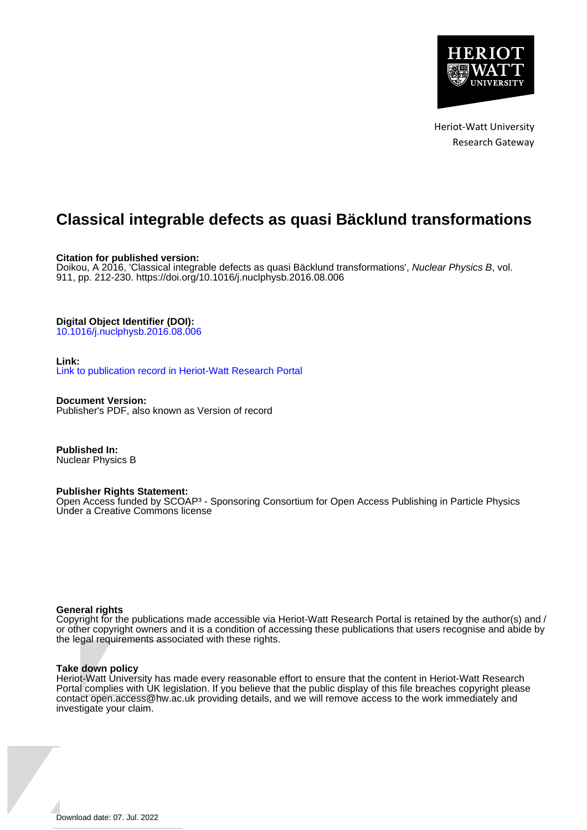

Heriot-Watt University Research Gateway

# **Classical integrable defects as quasi Bäcklund transformations**

**Citation for published version:**

Doikou, A 2016, 'Classical integrable defects as quasi Bäcklund transformations', Nuclear Physics B, vol. 911, pp. 212-230.<https://doi.org/10.1016/j.nuclphysb.2016.08.006>

**Digital Object Identifier (DOI):**

[10.1016/j.nuclphysb.2016.08.006](https://doi.org/10.1016/j.nuclphysb.2016.08.006)

# **Link:**

[Link to publication record in Heriot-Watt Research Portal](https://researchportal.hw.ac.uk/en/publications/30229b09-bd04-4d21-9bdf-654c92be0149)

**Document Version:** Publisher's PDF, also known as Version of record

**Published In:** Nuclear Physics B

# **Publisher Rights Statement:**

Open Access funded by SCOAP<sup>3</sup> - Sponsoring Consortium for Open Access Publishing in Particle Physics Under a Creative Commons license

# **General rights**

Copyright for the publications made accessible via Heriot-Watt Research Portal is retained by the author(s) and / or other copyright owners and it is a condition of accessing these publications that users recognise and abide by the legal requirements associated with these rights.

# **Take down policy**

Heriot-Watt University has made every reasonable effort to ensure that the content in Heriot-Watt Research Portal complies with UK legislation. If you believe that the public display of this file breaches copyright please contact open.access@hw.ac.uk providing details, and we will remove access to the work immediately and investigate your claim.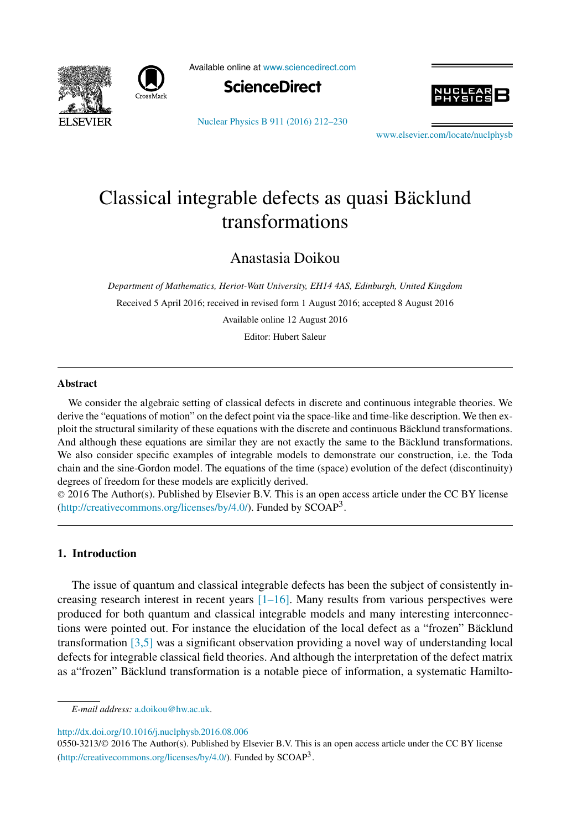



Available online at [www.sciencedirect.com](http://www.sciencedirect.com)



[Nuclear Physics B 911 \(2016\) 212–230](http://dx.doi.org/10.1016/j.nuclphysb.2016.08.006)



[www.elsevier.com/locate/nuclphysb](http://www.elsevier.com/locate/nuclphysb)

# Classical integrable defects as quasi Bäcklund transformations

Anastasia Doikou

*Department of Mathematics, Heriot-Watt University, EH14 4AS, Edinburgh, United Kingdom* Received 5 April 2016; received in revised form 1 August 2016; accepted 8 August 2016 Available online 12 August 2016 Editor: Hubert Saleur

#### **Abstract**

We consider the algebraic setting of classical defects in discrete and continuous integrable theories. We derive the "equations of motion" on the defect point via the space-like and time-like description. We then exploit the structural similarity of these equations with the discrete and continuous Bäcklund transformations. And although these equations are similar they are not exactly the same to the Bäcklund transformations. We also consider specific examples of integrable models to demonstrate our construction, i.e. the Toda chain and the sine-Gordon model. The equations of the time (space) evolution of the defect (discontinuity) degrees of freedom for these models are explicitly derived.

© 2016 The Author(s). Published by Elsevier B.V. This is an open access article under the CC BY license [\(http://creativecommons.org/licenses/by/4.0/\)](http://creativecommons.org/licenses/by/4.0/). Funded by  $SCOAP<sup>3</sup>$ .

# **1. Introduction**

The issue of quantum and classical integrable defects has been the subject of consistently increasing research interest in recent years  $[1-16]$ . Many results from various perspectives were produced for both quantum and classical integrable models and many interesting interconnections were pointed out. For instance the elucidation of the local defect as a "frozen" Bäcklund transformation [\[3,5\]](#page-18-0) was a significant observation providing a novel way of understanding local defects for integrable classical field theories. And although the interpretation of the defect matrix as a"frozen" Bäcklund transformation is a notable piece of information, a systematic Hamilto-

<http://dx.doi.org/10.1016/j.nuclphysb.2016.08.006>

*E-mail address:* [a.doikou@hw.ac.uk.](mailto:a.doikou@hw.ac.uk)

<sup>0550-3213/</sup>© 2016 The Author(s). Published by Elsevier B.V. This is an open access article under the CC BY license [\(http://creativecommons.org/licenses/by/4.0/\)](http://creativecommons.org/licenses/by/4.0/). Funded by  $SCOAP<sup>3</sup>$ .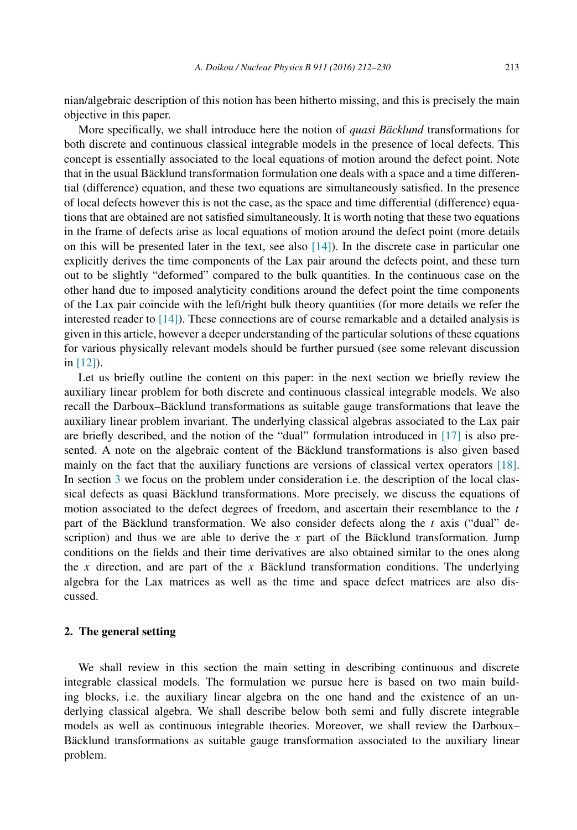nian/algebraic description of this notion has been hitherto missing, and this is precisely the main objective in this paper.

More specifically, we shall introduce here the notion of *quasi Bäcklund* transformations for both discrete and continuous classical integrable models in the presence of local defects. This concept is essentially associated to the local equations of motion around the defect point. Note that in the usual Bäcklund transformation formulation one deals with a space and a time differential (difference) equation, and these two equations are simultaneously satisfied. In the presence of local defects however this is not the case, as the space and time differential (difference) equations that are obtained are not satisfied simultaneously. It is worth noting that these two equations in the frame of defects arise as local equations of motion around the defect point (more details on this will be presented later in the text, see also  $[14]$ ). In the discrete case in particular one explicitly derives the time components of the Lax pair around the defects point, and these turn out to be slightly "deformed" compared to the bulk quantities. In the continuous case on the other hand due to imposed analyticity conditions around the defect point the time components of the Lax pair coincide with the left/right bulk theory quantities (for more details we refer the interested reader to [\[14\]\)](#page-18-0). These connections are of course remarkable and a detailed analysis is given in this article, however a deeper understanding of the particular solutions of these equations for various physically relevant models should be further pursued (see some relevant discussion in [\[12\]\)](#page-18-0).

Let us briefly outline the content on this paper: in the next section we briefly review the auxiliary linear problem for both discrete and continuous classical integrable models. We also recall the Darboux–Bäcklund transformations as suitable gauge transformations that leave the auxiliary linear problem invariant. The underlying classical algebras associated to the Lax pair are briefly described, and the notion of the "dual" formulation introduced in [\[17\]](#page-18-0) is also presented. A note on the algebraic content of the Bäcklund transformations is also given based mainly on the fact that the auxiliary functions are versions of classical vertex operators [\[18\].](#page-18-0) In section [3](#page-8-0) we focus on the problem under consideration i.e. the description of the local classical defects as quasi Bäcklund transformations. More precisely, we discuss the equations of motion associated to the defect degrees of freedom, and ascertain their resemblance to the *t* part of the Bäcklund transformation. We also consider defects along the *t* axis ("dual" description) and thus we are able to derive the *x* part of the Bäcklund transformation. Jump conditions on the fields and their time derivatives are also obtained similar to the ones along the *x* direction, and are part of the *x* Bäcklund transformation conditions. The underlying algebra for the Lax matrices as well as the time and space defect matrices are also discussed.

#### **2. The general setting**

We shall review in this section the main setting in describing continuous and discrete integrable classical models. The formulation we pursue here is based on two main building blocks, i.e. the auxiliary linear algebra on the one hand and the existence of an underlying classical algebra. We shall describe below both semi and fully discrete integrable models as well as continuous integrable theories. Moreover, we shall review the Darboux– Bäcklund transformations as suitable gauge transformation associated to the auxiliary linear problem.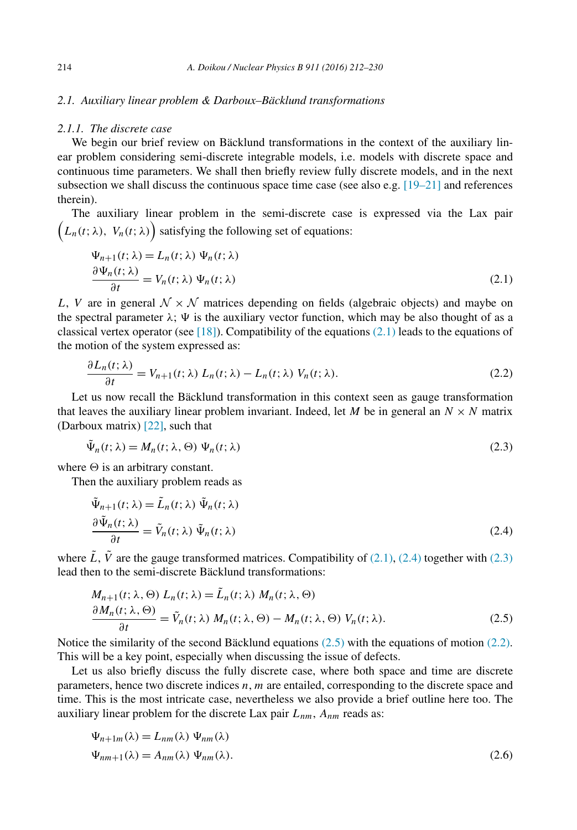## <span id="page-3-0"></span>*2.1. Auxiliary linear problem & Darboux–Bäcklund transformations*

# *2.1.1. The discrete case*

We begin our brief review on Bäcklund transformations in the context of the auxiliary linear problem considering semi-discrete integrable models, i.e. models with discrete space and continuous time parameters. We shall then briefly review fully discrete models, and in the next subsection we shall discuss the continuous space time case (see also e.g.  $[19-21]$  and references therein).

The auxiliary linear problem in the semi-discrete case is expressed via the Lax pair  $(L_n(t; \lambda), V_n(t; \lambda))$  satisfying the following set of equations:

$$
\Psi_{n+1}(t; \lambda) = L_n(t; \lambda) \Psi_n(t; \lambda)
$$
  
\n
$$
\frac{\partial \Psi_n(t; \lambda)}{\partial t} = V_n(t; \lambda) \Psi_n(t; \lambda)
$$
\n(2.1)

*L*, *V* are in general  $N \times N$  matrices depending on fields (algebraic objects) and maybe on the spectral parameter  $\lambda$ ;  $\Psi$  is the auxiliary vector function, which may be also thought of as a classical vertex operator (see  $[18]$ ). Compatibility of the equations (2.1) leads to the equations of the motion of the system expressed as:

$$
\frac{\partial L_n(t;\lambda)}{\partial t} = V_{n+1}(t;\lambda) L_n(t;\lambda) - L_n(t;\lambda) V_n(t;\lambda).
$$
\n(2.2)

Let us now recall the Bäcklund transformation in this context seen as gauge transformation that leaves the auxiliary linear problem invariant. Indeed, let *M* be in general an  $N \times N$  matrix (Darboux matrix) [\[22\],](#page-19-0) such that

$$
\tilde{\Psi}_n(t; \lambda) = M_n(t; \lambda, \Theta) \Psi_n(t; \lambda)
$$
\n(2.3)

where  $\Theta$  is an arbitrary constant.

Then the auxiliary problem reads as

$$
\tilde{\Psi}_{n+1}(t; \lambda) = \tilde{L}_n(t; \lambda) \tilde{\Psi}_n(t; \lambda)
$$
\n
$$
\frac{\partial \tilde{\Psi}_n(t; \lambda)}{\partial t} = \tilde{V}_n(t; \lambda) \tilde{\Psi}_n(t; \lambda)
$$
\n(2.4)

where  $\tilde{L}$ ,  $\tilde{V}$  are the gauge transformed matrices. Compatibility of (2.1), (2.4) together with (2.3) lead then to the semi-discrete Bäcklund transformations:

$$
M_{n+1}(t; \lambda, \Theta) L_n(t; \lambda) = \tilde{L}_n(t; \lambda) M_n(t; \lambda, \Theta)
$$
  
\n
$$
\frac{\partial M_n(t; \lambda, \Theta)}{\partial t} = \tilde{V}_n(t; \lambda) M_n(t; \lambda, \Theta) - M_n(t; \lambda, \Theta) V_n(t; \lambda).
$$
\n(2.5)

Notice the similarity of the second Bäcklund equations (2.5) with the equations of motion (2.2). This will be a key point, especially when discussing the issue of defects.

Let us also briefly discuss the fully discrete case, where both space and time are discrete parameters, hence two discrete indices *n*, *m* are entailed, corresponding to the discrete space and time. This is the most intricate case, nevertheless we also provide a brief outline here too. The auxiliary linear problem for the discrete Lax pair *Lnm*, *Anm* reads as:

$$
\Psi_{n+1m}(\lambda) = L_{nm}(\lambda) \Psi_{nm}(\lambda)
$$
  

$$
\Psi_{nm+1}(\lambda) = A_{nm}(\lambda) \Psi_{nm}(\lambda).
$$
 (2.6)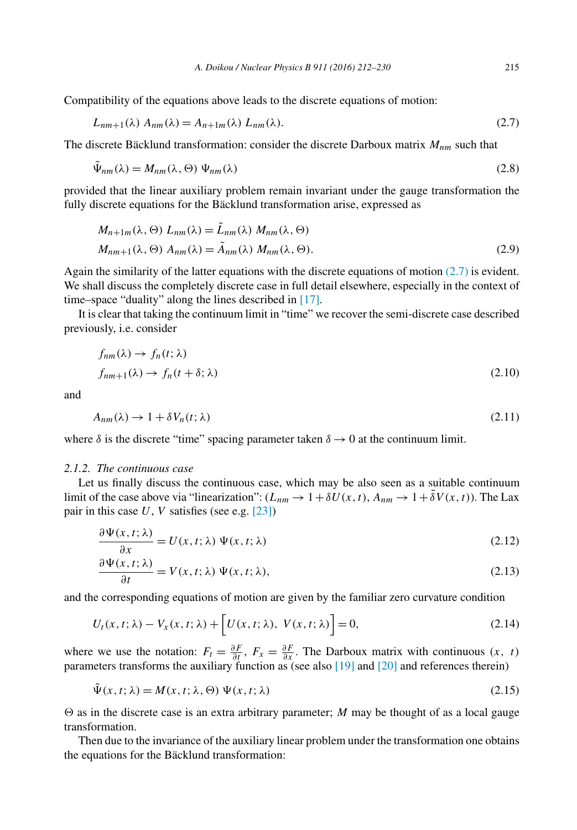<span id="page-4-0"></span>Compatibility of the equations above leads to the discrete equations of motion:

$$
L_{nm+1}(\lambda) A_{nm}(\lambda) = A_{n+1m}(\lambda) L_{nm}(\lambda).
$$
\n(2.7)

The discrete Bäcklund transformation: consider the discrete Darboux matrix *Mnm* such that

$$
\tilde{\Psi}_{nm}(\lambda) = M_{nm}(\lambda, \Theta) \Psi_{nm}(\lambda)
$$
\n(2.8)

provided that the linear auxiliary problem remain invariant under the gauge transformation the fully discrete equations for the Bäcklund transformation arise, expressed as

$$
M_{n+1m}(\lambda, \Theta) L_{nm}(\lambda) = \tilde{L}_{nm}(\lambda) M_{nm}(\lambda, \Theta)
$$
  

$$
M_{nm+1}(\lambda, \Theta) A_{nm}(\lambda) = \tilde{A}_{nm}(\lambda) M_{nm}(\lambda, \Theta).
$$
 (2.9)

Again the similarity of the latter equations with the discrete equations of motion (2.7) is evident. We shall discuss the completely discrete case in full detail elsewhere, especially in the context of time–space "duality" along the lines described in [\[17\].](#page-18-0)

It is clear that taking the continuum limit in "time" we recover the semi-discrete case described previously, i.e. consider

$$
f_{nm}(\lambda) \to f_n(t; \lambda)
$$
  

$$
f_{nm+1}(\lambda) \to f_n(t + \delta; \lambda)
$$
 (2.10)

and

$$
A_{nm}(\lambda) \to 1 + \delta V_n(t; \lambda) \tag{2.11}
$$

where  $\delta$  is the discrete "time" spacing parameter taken  $\delta \to 0$  at the continuum limit.

#### *2.1.2. The continuous case*

Let us finally discuss the continuous case, which may be also seen as a suitable continuum limit of the case above via "linearization":  $(L_{nm} \to 1 + \delta U(x, t), A_{nm} \to 1 + \delta V(x, t))$ . The Lax pair in this case *U*, *V* satisfies (see e.g. [\[23\]\)](#page-19-0)

$$
\frac{\partial \Psi(x, t; \lambda)}{\partial x} = U(x, t; \lambda) \Psi(x, t; \lambda)
$$
\n(2.12)

$$
\frac{\partial \Psi(x, t; \lambda)}{\partial t} = V(x, t; \lambda) \Psi(x, t; \lambda), \qquad (2.13)
$$

and the corresponding equations of motion are given by the familiar zero curvature condition

$$
U_t(x, t; \lambda) - V_x(x, t; \lambda) + \left[ U(x, t; \lambda), V(x, t; \lambda) \right] = 0,
$$
\n(2.14)

where we use the notation:  $F_t = \frac{\partial F}{\partial t}$ ,  $F_x = \frac{\partial F}{\partial x}$ . The Darboux matrix with continuous  $(x, t)$ parameters transforms the auxiliary function as (see also [\[19\]](#page-18-0) and [\[20\]](#page-18-0) and references therein)

$$
\tilde{\Psi}(x,t;\lambda) = M(x,t;\lambda,\Theta) \Psi(x,t;\lambda)
$$
\n(2.15)

 $\Theta$  as in the discrete case is an extra arbitrary parameter; *M* may be thought of as a local gauge transformation.

Then due to the invariance of the auxiliary linear problem under the transformation one obtains the equations for the Bäcklund transformation: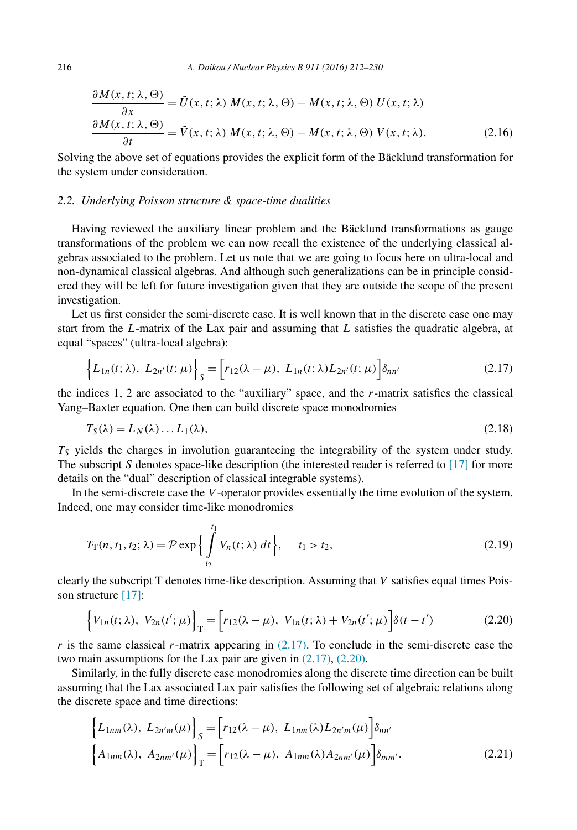<span id="page-5-0"></span>216 *A. Doikou / Nuclear Physics B 911 (2016) 212–230*

$$
\frac{\partial M(x,t;\lambda,\Theta)}{\partial x} = \tilde{U}(x,t;\lambda) M(x,t;\lambda,\Theta) - M(x,t;\lambda,\Theta) U(x,t;\lambda)
$$

$$
\frac{\partial M(x,t;\lambda,\Theta)}{\partial t} = \tilde{V}(x,t;\lambda) M(x,t;\lambda,\Theta) - M(x,t;\lambda,\Theta) V(x,t;\lambda).
$$
(2.16)

Solving the above set of equations provides the explicit form of the Bäcklund transformation for the system under consideration.

## *2.2. Underlying Poisson structure & space-time dualities*

Having reviewed the auxiliary linear problem and the Bäcklund transformations as gauge transformations of the problem we can now recall the existence of the underlying classical algebras associated to the problem. Let us note that we are going to focus here on ultra-local and non-dynamical classical algebras. And although such generalizations can be in principle considered they will be left for future investigation given that they are outside the scope of the present investigation.

Let us first consider the semi-discrete case. It is well known that in the discrete case one may start from the *L*-matrix of the Lax pair and assuming that *L* satisfies the quadratic algebra, at equal "spaces" (ultra-local algebra):

$$
\left\{L_{1n}(t; \lambda), L_{2n'}(t; \mu)\right\}_{S} = \left[r_{12}(\lambda - \mu), L_{1n}(t; \lambda)L_{2n'}(t; \mu)\right]\delta_{nn'}
$$
\n(2.17)

the indices 1, 2 are associated to the "auxiliary" space, and the *r*-matrix satisfies the classical Yang–Baxter equation. One then can build discrete space monodromies

$$
T_S(\lambda) = L_N(\lambda) \dots L_1(\lambda),\tag{2.18}
$$

*TS* yields the charges in involution guaranteeing the integrability of the system under study. The subscript *S* denotes space-like description (the interested reader is referred to [\[17\]](#page-18-0) for more details on the "dual" description of classical integrable systems).

In the semi-discrete case the *V* -operator provides essentially the time evolution of the system. Indeed, one may consider time-like monodromies

$$
T_{\Gamma}(n, t_1, t_2; \lambda) = \mathcal{P} \exp \left\{ \int_{t_2}^{t_1} V_n(t; \lambda) dt \right\}, \quad t_1 > t_2,
$$
\n(2.19)

clearly the subscript T denotes time-like description. Assuming that *V* satisfies equal times Pois-son structure [\[17\]:](#page-18-0)

$$
\{V_{1n}(t; \lambda), V_{2n}(t'; \mu)\}_T = \Big[r_{12}(\lambda - \mu), V_{1n}(t; \lambda) + V_{2n}(t'; \mu)\Big]\delta(t - t')
$$
\n(2.20)

 $r$  is the same classical  $r$ -matrix appearing in  $(2.17)$ . To conclude in the semi-discrete case the two main assumptions for the Lax pair are given in (2.17), (2.20).

Similarly, in the fully discrete case monodromies along the discrete time direction can be built assuming that the Lax associated Lax pair satisfies the following set of algebraic relations along the discrete space and time directions:

$$
\begin{aligned}\n\left\{ L_{1nm}(\lambda), \ L_{2n'm}(\mu) \right\}_S &= \left[ r_{12}(\lambda - \mu), \ L_{1nm}(\lambda) L_{2n'm}(\mu) \right] \delta_{nn'} \\
\left\{ A_{1nm}(\lambda), \ A_{2nm'}(\mu) \right\}_T &= \left[ r_{12}(\lambda - \mu), \ A_{1nm}(\lambda) A_{2nm'}(\mu) \right] \delta_{mm'}.\n\end{aligned} \tag{2.21}
$$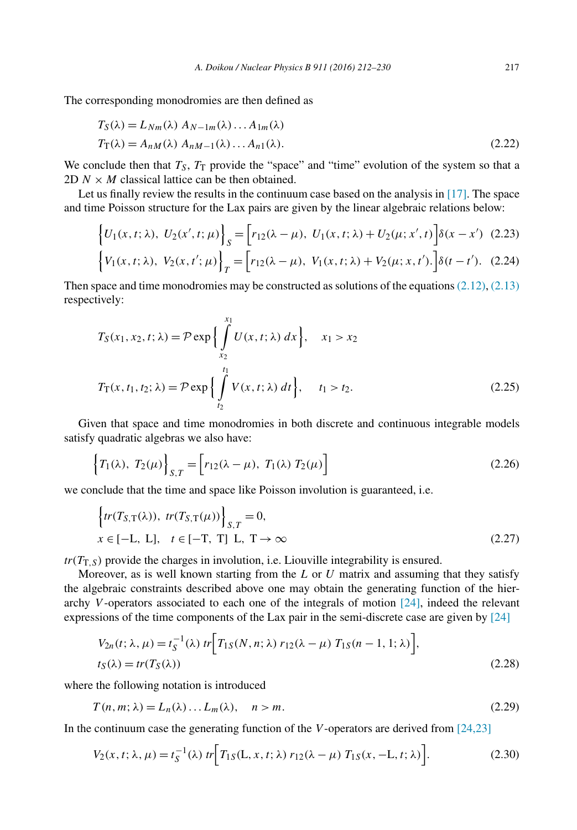<span id="page-6-0"></span>The corresponding monodromies are then defined as

$$
T_S(\lambda) = L_{Nm}(\lambda) A_{N-1m}(\lambda) \dots A_{1m}(\lambda)
$$
  
\n
$$
T_T(\lambda) = A_{nM}(\lambda) A_{nM-1}(\lambda) \dots A_{n1}(\lambda).
$$
\n(2.22)

We conclude then that  $T<sub>S</sub>$ ,  $T<sub>T</sub>$  provide the "space" and "time" evolution of the system so that a 2D  $N \times M$  classical lattice can be then obtained.

Let us finally review the results in the continuum case based on the analysis in [\[17\].](#page-18-0) The space and time Poisson structure for the Lax pairs are given by the linear algebraic relations below:

$$
\begin{aligned}\n\left\{ U_1(x,t;\lambda), \ U_2(x',t;\mu) \right\}_S &= \left[ r_{12}(\lambda - \mu), \ U_1(x,t;\lambda) + U_2(\mu;x',t) \right] \delta(x - x') \tag{2.23} \\
\left\{ V_1(x,t;\lambda), \ V_2(x,t';\mu) \right\}_T &= \left[ r_{12}(\lambda - \mu), \ V_1(x,t;\lambda) + V_2(\mu;x,t') \right] \delta(t - t'). \tag{2.24}\n\end{aligned}
$$

Then space and time monodromies may be constructed as solutions of the equations  $(2.12)$ ,  $(2.13)$ respectively:

$$
T_S(x_1, x_2, t; \lambda) = \mathcal{P} \exp\left\{\int_{x_2}^{x_1} U(x, t; \lambda) dx\right\}, \quad x_1 > x_2
$$
  

$$
T_T(x, t_1, t_2; \lambda) = \mathcal{P} \exp\left\{\int_{t_2}^{t_1} V(x, t; \lambda) dt\right\}, \quad t_1 > t_2.
$$
 (2.25)

Given that space and time monodromies in both discrete and continuous integrable models satisfy quadratic algebras we also have:

$$
\{T_1(\lambda), T_2(\mu)\}_{S,T} = \left[r_{12}(\lambda - \mu), T_1(\lambda) T_2(\mu)\right]
$$
\n(2.26)

we conclude that the time and space like Poisson involution is guaranteed, i.e.

$$
\left\{tr(T_{S,T}(\lambda)), \ tr(T_{S,T}(\mu))\right\}_{S,T} = 0,
$$
\n
$$
x \in [-L, L], \quad t \in [-T, T] \ L, \ T \to \infty
$$
\n
$$
(2.27)
$$

 $tr(T_{T,S})$  provide the charges in involution, i.e. Liouville integrability is ensured.

Moreover, as is well known starting from the *L* or *U* matrix and assuming that they satisfy the algebraic constraints described above one may obtain the generating function of the hierarchy *V* -operators associated to each one of the integrals of motion [\[24\],](#page-19-0) indeed the relevant expressions of the time components of the Lax pair in the semi-discrete case are given by [\[24\]](#page-19-0)

$$
V_{2n}(t; \lambda, \mu) = t_{S}^{-1}(\lambda) \ tr\Big[ T_{1S}(N, n; \lambda) \ r_{12}(\lambda - \mu) \ T_{1S}(n - 1, 1; \lambda) \Big],
$$
  
\n
$$
t_{S}(\lambda) = tr(T_{S}(\lambda))
$$
\n(2.28)

where the following notation is introduced

$$
T(n, m; \lambda) = L_n(\lambda) \dots L_m(\lambda), \quad n > m.
$$
\n
$$
(2.29)
$$

In the continuum case the generating function of the *V*-operators are derived from [\[24,23\]](#page-19-0)

$$
V_2(x, t; \lambda, \mu) = t_S^{-1}(\lambda) \ tr \Big[ T_{1S}(L, x, t; \lambda) \ r_{12}(\lambda - \mu) \ T_{1S}(x, -L, t; \lambda) \Big]. \tag{2.30}
$$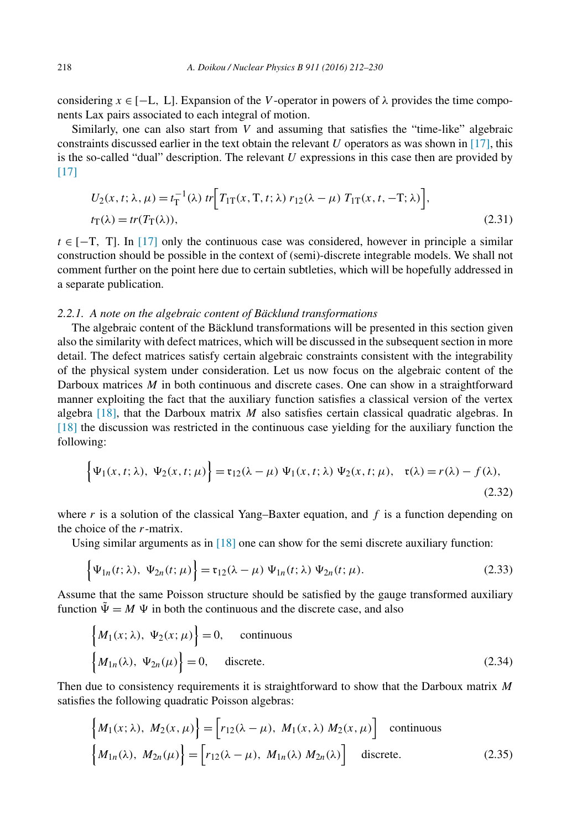<span id="page-7-0"></span>considering  $x \in [-L, L]$ . Expansion of the *V*-operator in powers of  $\lambda$  provides the time components Lax pairs associated to each integral of motion.

Similarly, one can also start from *V* and assuming that satisfies the "time-like" algebraic constraints discussed earlier in the text obtain the relevant *U* operators as was shown in [\[17\],](#page-18-0) this is the so-called "dual" description. The relevant *U* expressions in this case then are provided by  $[17]$ 

$$
U_2(x, t; \lambda, \mu) = t_\text{T}^{-1}(\lambda) \operatorname{tr} \Big[ T_{1\text{T}}(x, \text{T}, t; \lambda) \, r_{12}(\lambda - \mu) \, T_{1\text{T}}(x, t, -\text{T}; \lambda) \Big],
$$
  
\n
$$
t_\text{T}(\lambda) = \operatorname{tr} (T_\text{T}(\lambda)), \tag{2.31}
$$

 $t \in [-T, T]$ . In [\[17\]](#page-18-0) only the continuous case was considered, however in principle a similar construction should be possible in the context of (semi)-discrete integrable models. We shall not comment further on the point here due to certain subtleties, which will be hopefully addressed in a separate publication.

#### *2.2.1. A note on the algebraic content of Bäcklund transformations*

The algebraic content of the Bäcklund transformations will be presented in this section given also the similarity with defect matrices, which will be discussed in the subsequent section in more detail. The defect matrices satisfy certain algebraic constraints consistent with the integrability of the physical system under consideration. Let us now focus on the algebraic content of the Darboux matrices *M* in both continuous and discrete cases. One can show in a straightforward manner exploiting the fact that the auxiliary function satisfies a classical version of the vertex algebra [\[18\],](#page-18-0) that the Darboux matrix *M* also satisfies certain classical quadratic algebras. In [\[18\]](#page-18-0) the discussion was restricted in the continuous case yielding for the auxiliary function the following:

$$
\left\{\Psi_1(x,t;\lambda),\ \Psi_2(x,t;\mu)\right\} = \mathfrak{r}_{12}(\lambda-\mu)\ \Psi_1(x,t;\lambda)\ \Psi_2(x,t;\mu),\ \mathfrak{r}(\lambda) = r(\lambda) - f(\lambda),\tag{2.32}
$$

where  $r$  is a solution of the classical Yang–Baxter equation, and  $f$  is a function depending on the choice of the *r*-matrix.

Using similar arguments as in [\[18\]](#page-18-0) one can show for the semi discrete auxiliary function:

$$
\left\{\Psi_{1n}(t;\lambda),\ \Psi_{2n}(t;\mu)\right\}=\mathfrak{r}_{12}(\lambda-\mu)\ \Psi_{1n}(t;\lambda)\ \Psi_{2n}(t;\mu). \tag{2.33}
$$

Assume that the same Poisson structure should be satisfied by the gauge transformed auxiliary function  $\tilde{\Psi} = M \Psi$  in both the continuous and the discrete case, and also

$$
\begin{cases} M_1(x; \lambda), \ \Psi_2(x; \mu) \end{cases} = 0, \quad \text{continuous} \\ \begin{cases} M_{1n}(\lambda), \ \Psi_{2n}(\mu) \end{cases} = 0, \quad \text{discrete.} \end{cases} \tag{2.34}
$$

Then due to consistency requirements it is straightforward to show that the Darboux matrix *M* satisfies the following quadratic Poisson algebras:

$$
\begin{cases}\nM_1(x;\lambda), M_2(x,\mu)\n\end{cases}\n=\n\begin{bmatrix}\nr_{12}(\lambda - \mu), M_1(x,\lambda) M_2(x,\mu)\n\end{bmatrix}\n\text{ continuous }\n\begin{cases}\nM_{1n}(\lambda), M_{2n}(\mu)\n\end{cases}\n=\n\begin{bmatrix}\nr_{12}(\lambda - \mu), M_{1n}(\lambda) M_{2n}(\lambda)\n\end{bmatrix}\n\text{ discrete.}\n\tag{2.35}
$$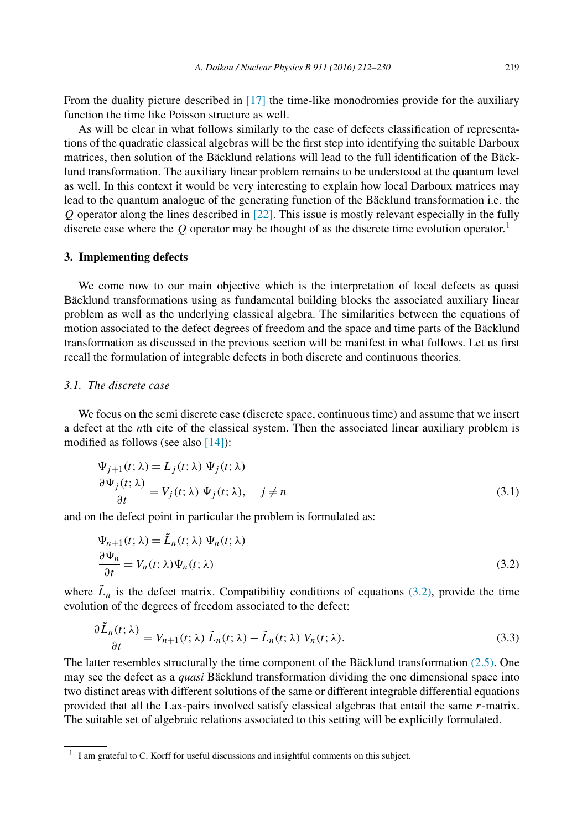<span id="page-8-0"></span>From the duality picture described in [\[17\]](#page-18-0) the time-like monodromies provide for the auxiliary function the time like Poisson structure as well.

As will be clear in what follows similarly to the case of defects classification of representations of the quadratic classical algebras will be the first step into identifying the suitable Darboux matrices, then solution of the Bäcklund relations will lead to the full identification of the Bäcklund transformation. The auxiliary linear problem remains to be understood at the quantum level as well. In this context it would be very interesting to explain how local Darboux matrices may lead to the quantum analogue of the generating function of the Bäcklund transformation i.e. the *Q* operator along the lines described in [\[22\].](#page-19-0) This issue is mostly relevant especially in the fully discrete case where the  $Q$  operator may be thought of as the discrete time evolution operator.<sup>1</sup>

## **3. Implementing defects**

We come now to our main objective which is the interpretation of local defects as quasi Bäcklund transformations using as fundamental building blocks the associated auxiliary linear problem as well as the underlying classical algebra. The similarities between the equations of motion associated to the defect degrees of freedom and the space and time parts of the Bäcklund transformation as discussed in the previous section will be manifest in what follows. Let us first recall the formulation of integrable defects in both discrete and continuous theories.

## *3.1. The discrete case*

We focus on the semi discrete case (discrete space, continuous time) and assume that we insert a defect at the *n*th cite of the classical system. Then the associated linear auxiliary problem is modified as follows (see also [\[14\]\)](#page-18-0):

$$
\Psi_{j+1}(t; \lambda) = L_j(t; \lambda) \Psi_j(t; \lambda)
$$
  
\n
$$
\frac{\partial \Psi_j(t; \lambda)}{\partial t} = V_j(t; \lambda) \Psi_j(t; \lambda), \quad j \neq n
$$
\n(3.1)

and on the defect point in particular the problem is formulated as:

$$
\Psi_{n+1}(t; \lambda) = \tilde{L}_n(t; \lambda) \Psi_n(t; \lambda)
$$
  
\n
$$
\frac{\partial \Psi_n}{\partial t} = V_n(t; \lambda) \Psi_n(t; \lambda)
$$
\n(3.2)

where  $\tilde{L}_n$  is the defect matrix. Compatibility conditions of equations (3.2), provide the time evolution of the degrees of freedom associated to the defect:

$$
\frac{\partial \tilde{L}_n(t;\lambda)}{\partial t} = V_{n+1}(t;\lambda) \tilde{L}_n(t;\lambda) - \tilde{L}_n(t;\lambda) V_n(t;\lambda).
$$
\n(3.3)

The latter resembles structurally the time component of the Bäcklund transformation  $(2.5)$ . One may see the defect as a *quasi* Bäcklund transformation dividing the one dimensional space into two distinct areas with different solutions of the same or different integrable differential equations provided that all the Lax-pairs involved satisfy classical algebras that entail the same *r*-matrix. The suitable set of algebraic relations associated to this setting will be explicitly formulated.

<sup>1</sup> I am grateful to C. Korff for useful discussions and insightful comments on this subject.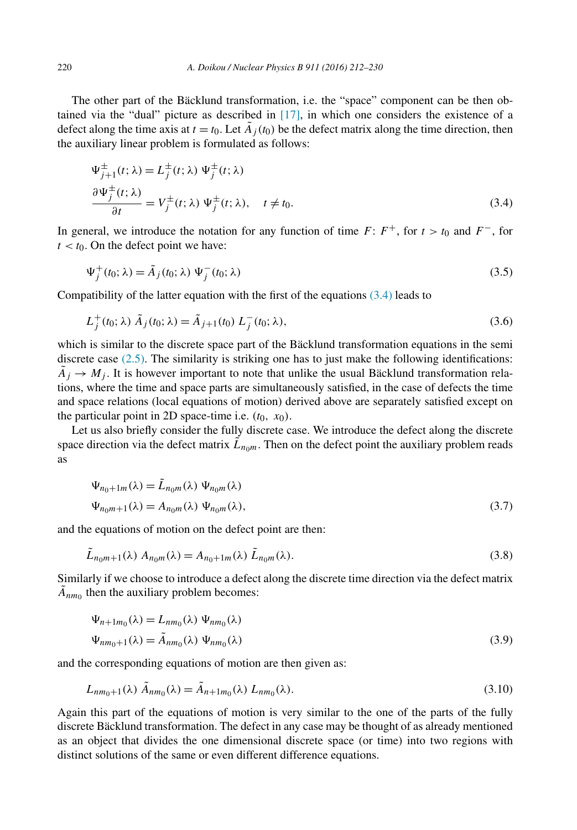The other part of the Bäcklund transformation, i.e. the "space" component can be then obtained via the "dual" picture as described in [\[17\],](#page-18-0) in which one considers the existence of a defect along the time axis at  $t = t_0$ . Let  $\tilde{A}_j(t_0)$  be the defect matrix along the time direction, then the auxiliary linear problem is formulated as follows:

$$
\Psi_{j+1}^{\pm}(t; \lambda) = L_j^{\pm}(t; \lambda) \Psi_j^{\pm}(t; \lambda)
$$
  
\n
$$
\frac{\partial \Psi_j^{\pm}(t; \lambda)}{\partial t} = V_j^{\pm}(t; \lambda) \Psi_j^{\pm}(t; \lambda), \quad t \neq t_0.
$$
\n(3.4)

In general, we introduce the notation for any function of time *F*:  $F^+$ , for  $t > t_0$  and  $F^-$ , for  $t < t_0$ . On the defect point we have:

$$
\Psi_j^+(t_0; \lambda) = \tilde{A}_j(t_0; \lambda) \Psi_j^-(t_0; \lambda)
$$
\n(3.5)

Compatibility of the latter equation with the first of the equations  $(3.4)$  leads to

$$
L_j^+(t_0; \lambda) \tilde{A}_j(t_0; \lambda) = \tilde{A}_{j+1}(t_0) L_j^-(t_0; \lambda), \qquad (3.6)
$$

which is similar to the discrete space part of the Bäcklund transformation equations in the semi discrete case [\(2.5\).](#page-3-0) The similarity is striking one has to just make the following identifications:  $\tilde{A}_i \rightarrow M_i$ . It is however important to note that unlike the usual Bäcklund transformation relations, where the time and space parts are simultaneously satisfied, in the case of defects the time and space relations (local equations of motion) derived above are separately satisfied except on the particular point in 2D space-time i.e.  $(t_0, x_0)$ .

Let us also briefly consider the fully discrete case. We introduce the defect along the discrete space direction via the defect matrix  $\tilde{L}_{nom}$ . Then on the defect point the auxiliary problem reads as

$$
\Psi_{n_0+1m}(\lambda) = \tilde{L}_{n_0m}(\lambda) \Psi_{n_0m}(\lambda)
$$
  

$$
\Psi_{n_0m+1}(\lambda) = A_{n_0m}(\lambda) \Psi_{n_0m}(\lambda),
$$
\n(3.7)

and the equations of motion on the defect point are then:

$$
\tilde{L}_{n_0m+1}(\lambda) A_{n_0m}(\lambda) = A_{n_0+1m}(\lambda) \tilde{L}_{n_0m}(\lambda).
$$
\n(3.8)

Similarly if we choose to introduce a defect along the discrete time direction via the defect matrix  $\tilde{A}_{nm_0}$  then the auxiliary problem becomes:

$$
\Psi_{n+1m_0}(\lambda) = L_{nm_0}(\lambda) \Psi_{nm_0}(\lambda)
$$
  

$$
\Psi_{nm_0+1}(\lambda) = \tilde{A}_{nm_0}(\lambda) \Psi_{nm_0}(\lambda)
$$
 (3.9)

and the corresponding equations of motion are then given as:

$$
L_{nm_0+1}(\lambda) \tilde{A}_{nm_0}(\lambda) = \tilde{A}_{n+1m_0}(\lambda) L_{nm_0}(\lambda).
$$
\n(3.10)

Again this part of the equations of motion is very similar to the one of the parts of the fully discrete Bäcklund transformation. The defect in any case may be thought of as already mentioned as an object that divides the one dimensional discrete space (or time) into two regions with distinct solutions of the same or even different difference equations.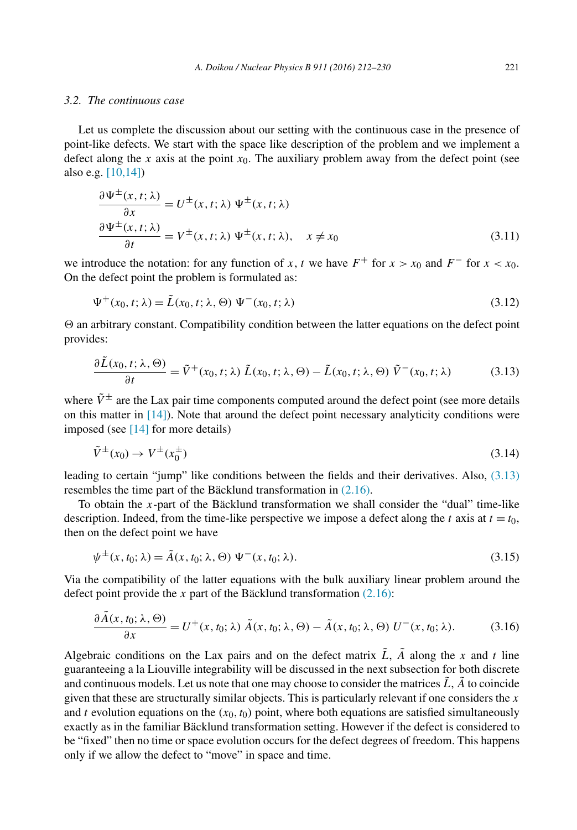## <span id="page-10-0"></span>*3.2. The continuous case*

Let us complete the discussion about our setting with the continuous case in the presence of point-like defects. We start with the space like description of the problem and we implement a defect along the *x* axis at the point *x*0. The auxiliary problem away from the defect point (see also e.g. [\[10,14\]\)](#page-18-0)

$$
\frac{\partial \Psi^{\pm}(x,t;\lambda)}{\partial x} = U^{\pm}(x,t;\lambda) \Psi^{\pm}(x,t;\lambda)
$$

$$
\frac{\partial \Psi^{\pm}(x,t;\lambda)}{\partial t} = V^{\pm}(x,t;\lambda) \Psi^{\pm}(x,t;\lambda), \quad x \neq x_0
$$
(3.11)

we introduce the notation: for any function of *x*, *t* we have  $F^+$  for  $x > x_0$  and  $F^-$  for  $x < x_0$ . On the defect point the problem is formulated as:

$$
\Psi^{+}(x_0, t; \lambda) = \tilde{L}(x_0, t; \lambda, \Theta) \Psi^{-}(x_0, t; \lambda)
$$
\n(3.12)

 $\Theta$  an arbitrary constant. Compatibility condition between the latter equations on the defect point provides:

$$
\frac{\partial \tilde{L}(x_0, t; \lambda, \Theta)}{\partial t} = \tilde{V}^+(x_0, t; \lambda) \tilde{L}(x_0, t; \lambda, \Theta) - \tilde{L}(x_0, t; \lambda, \Theta) \tilde{V}^-(x_0, t; \lambda)
$$
(3.13)

where  $\tilde{V}^{\pm}$  are the Lax pair time components computed around the defect point (see more details on this matter in [\[14\]\)](#page-18-0). Note that around the defect point necessary analyticity conditions were imposed (see [\[14\]](#page-18-0) for more details)

$$
\tilde{V}^{\pm}(x_0) \to V^{\pm}(x_0^{\pm})
$$
\n
$$
(3.14)
$$

leading to certain "jump" like conditions between the fields and their derivatives. Also, (3.13) resembles the time part of the Bäcklund transformation in [\(2.16\).](#page-5-0)

To obtain the *x*-part of the Bäcklund transformation we shall consider the "dual" time-like description. Indeed, from the time-like perspective we impose a defect along the *t* axis at  $t = t_0$ , then on the defect point we have

$$
\psi^{\pm}(x, t_0; \lambda) = \tilde{A}(x, t_0; \lambda, \Theta) \Psi^{-}(x, t_0; \lambda).
$$
\n(3.15)

Via the compatibility of the latter equations with the bulk auxiliary linear problem around the defect point provide the  $x$  part of the Bäcklund transformation  $(2.16)$ :

$$
\frac{\partial \tilde{A}(x,t_0;\lambda,\Theta)}{\partial x} = U^+(x,t_0;\lambda) \tilde{A}(x,t_0;\lambda,\Theta) - \tilde{A}(x,t_0;\lambda,\Theta) U^-(x,t_0;\lambda).
$$
 (3.16)

Algebraic conditions on the Lax pairs and on the defect matrix  $\tilde{L}$ ,  $\tilde{A}$  along the *x* and *t* line guaranteeing a la Liouville integrability will be discussed in the next subsection for both discrete and continuous models. Let us note that one may choose to consider the matrices  $\tilde{L}$ ,  $\tilde{A}$  to coincide given that these are structurally similar objects. This is particularly relevant if one considers the *x* and *t* evolution equations on the  $(x_0, t_0)$  point, where both equations are satisfied simultaneously exactly as in the familiar Bäcklund transformation setting. However if the defect is considered to be "fixed" then no time or space evolution occurs for the defect degrees of freedom. This happens only if we allow the defect to "move" in space and time.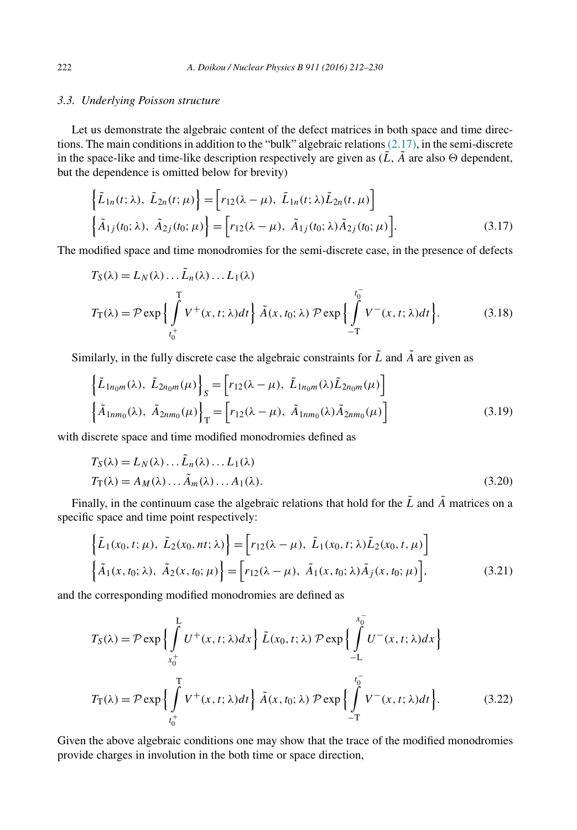## <span id="page-11-0"></span>*3.3. Underlying Poisson structure*

Let us demonstrate the algebraic content of the defect matrices in both space and time directions. The main conditions in addition to the "bulk" algebraic relations  $(2.17)$ , in the semi-discrete in the space-like and time-like description respectively are given as  $(\tilde{L}, \tilde{A})$  are also  $\Theta$  dependent, but the dependence is omitted below for brevity)

$$
\left\{\tilde{L}_{1n}(t;\lambda), \ \tilde{L}_{2n}(t;\mu)\right\} = \left[r_{12}(\lambda - \mu), \ \tilde{L}_{1n}(t;\lambda)\tilde{L}_{2n}(t,\mu)\right]
$$
\n
$$
\left\{\tilde{A}_{1j}(t_0;\lambda), \ \tilde{A}_{2j}(t_0;\mu)\right\} = \left[r_{12}(\lambda - \mu), \ \tilde{A}_{1j}(t_0;\lambda)\tilde{A}_{2j}(t_0;\mu)\right].\tag{3.17}
$$

The modified space and time monodromies for the semi-discrete case, in the presence of defects

$$
T_S(\lambda) = L_N(\lambda) \dots \tilde{L}_n(\lambda) \dots L_1(\lambda)
$$
  
\n
$$
T_T(\lambda) = \mathcal{P} \exp \left\{ \int_{t_0^+}^T V^+(x, t; \lambda) dt \right\} \tilde{A}(x, t_0; \lambda) \mathcal{P} \exp \left\{ \int_{-T}^{t_0^-} V^-(x, t; \lambda) dt \right\}. \tag{3.18}
$$

Similarly, in the fully discrete case the algebraic constraints for  $\tilde{L}$  and  $\tilde{A}$  are given as

$$
\left\{\tilde{L}_{1n_0m}(\lambda), \ \tilde{L}_{2n_0m}(\mu)\right\}_S = \left[r_{12}(\lambda - \mu), \ \tilde{L}_{1n_0m}(\lambda)\tilde{L}_{2n_0m}(\mu)\right]
$$
\n
$$
\left\{\tilde{A}_{1nm_0}(\lambda), \ \tilde{A}_{2nm_0}(\mu)\right\}_T = \left[r_{12}(\lambda - \mu), \ \tilde{A}_{1nm_0}(\lambda)\tilde{A}_{2nm_0}(\mu)\right]
$$
\n(3.19)

with discrete space and time modified monodromies defined as

$$
T_S(\lambda) = L_N(\lambda) \dots \tilde{L}_n(\lambda) \dots L_1(\lambda)
$$
  
\n
$$
T_T(\lambda) = A_M(\lambda) \dots \tilde{A}_m(\lambda) \dots A_1(\lambda).
$$
\n(3.20)

Finally, in the continuum case the algebraic relations that hold for the  $\tilde{L}$  and  $\tilde{A}$  matrices on a specific space and time point respectively:

$$
\begin{aligned}\n\left\{\tilde{L}_{1}(x_{0},t;\mu), \ \tilde{L}_{2}(x_{0},nt;\lambda)\right\} &= \left[r_{12}(\lambda-\mu), \ \tilde{L}_{1}(x_{0},t;\lambda)\tilde{L}_{2}(x_{0},t,\mu)\right] \\
\left\{\tilde{A}_{1}(x,t_{0};\lambda), \ \tilde{A}_{2}(x,t_{0};\mu)\right\} &= \left[r_{12}(\lambda-\mu), \ \tilde{A}_{1}(x,t_{0};\lambda)\tilde{A}_{j}(x,t_{0};\mu)\right],\n\end{aligned} \tag{3.21}
$$

and the corresponding modified monodromies are defined as

$$
T_S(\lambda) = \mathcal{P} \exp \Big\{ \int_{x_0^+}^{L} U^+(x, t; \lambda) dx \Big\} \tilde{L}(x_0, t; \lambda) \mathcal{P} \exp \Big\{ \int_{-L}^{x_0^-} U^-(x, t; \lambda) dx \Big\}
$$
  

$$
T_T(\lambda) = \mathcal{P} \exp \Big\{ \int_{t_0^+}^{T} V^+(x, t; \lambda) dt \Big\} \tilde{A}(x, t_0; \lambda) \mathcal{P} \exp \Big\{ \int_{-T}^{t_0^-} V^-(x, t; \lambda) dt \Big\}. \tag{3.22}
$$

Given the above algebraic conditions one may show that the trace of the modified monodromies provide charges in involution in the both time or space direction,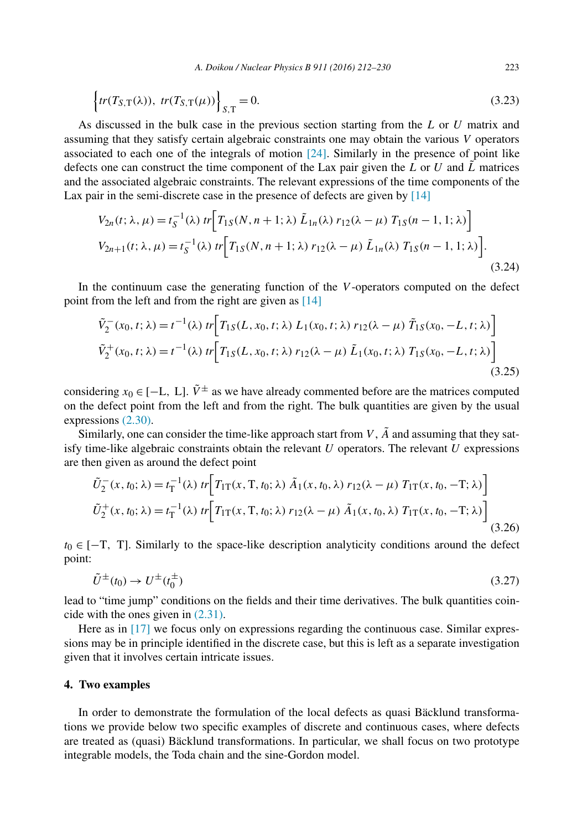$$
\left\{tr(T_{S,T}(\lambda)), \ tr(T_{S,T}(\mu))\right\}_{S,T} = 0. \tag{3.23}
$$

As discussed in the bulk case in the previous section starting from the *L* or *U* matrix and assuming that they satisfy certain algebraic constraints one may obtain the various *V* operators associated to each one of the integrals of motion  $[24]$ . Similarly in the presence of point like defects one can construct the time component of the Lax pair given the  $L$  or  $U$  and  $\tilde{L}$  matrices and the associated algebraic constraints. The relevant expressions of the time components of the Lax pair in the semi-discrete case in the presence of defects are given by [\[14\]](#page-18-0)

$$
V_{2n}(t; \lambda, \mu) = t_{S}^{-1}(\lambda) \ tr \Big[ T_{1S}(N, n+1; \lambda) \ \tilde{L}_{1n}(\lambda) \ r_{12}(\lambda - \mu) \ T_{1S}(n-1, 1; \lambda) \Big]
$$
  
\n
$$
V_{2n+1}(t; \lambda, \mu) = t_{S}^{-1}(\lambda) \ tr \Big[ T_{1S}(N, n+1; \lambda) \ r_{12}(\lambda - \mu) \ \tilde{L}_{1n}(\lambda) \ T_{1S}(n-1, 1; \lambda) \Big].
$$
  
\n(3.24)

In the continuum case the generating function of the *V* -operators computed on the defect point from the left and from the right are given as [\[14\]](#page-18-0)

$$
\tilde{V}_2^-(x_0, t; \lambda) = t^{-1}(\lambda) \ tr \Big[ T_{1S}(L, x_0, t; \lambda) \ L_1(x_0, t; \lambda) \ r_{12}(\lambda - \mu) \ \tilde{T}_{1S}(x_0, -L, t; \lambda) \Big]
$$
\n
$$
\tilde{V}_2^+(x_0, t; \lambda) = t^{-1}(\lambda) \ tr \Big[ T_{1S}(L, x_0, t; \lambda) \ r_{12}(\lambda - \mu) \ \tilde{L}_1(x_0, t; \lambda) \ T_{1S}(x_0, -L, t; \lambda) \Big]
$$
\n(3.25)

considering  $x_0 \in [-L, L]$ .  $\tilde{V}^{\pm}$  as we have already commented before are the matrices computed on the defect point from the left and from the right. The bulk quantities are given by the usual expressions [\(2.30\).](#page-6-0)

Similarly, one can consider the time-like approach start from  $V$ ,  $\tilde{A}$  and assuming that they satisfy time-like algebraic constraints obtain the relevant *U* operators. The relevant *U* expressions are then given as around the defect point

$$
\tilde{U}_2^-(x, t_0; \lambda) = t_\text{T}^{-1}(\lambda) \ tr \Big[ T_{1\text{T}}(x, \text{T}, t_0; \lambda) \ \tilde{A}_1(x, t_0, \lambda) \ r_{12}(\lambda - \mu) \ T_{1\text{T}}(x, t_0, -\text{T}; \lambda) \Big] \n\tilde{U}_2^+(x, t_0; \lambda) = t_\text{T}^{-1}(\lambda) \ tr \Big[ T_{1\text{T}}(x, \text{T}, t_0; \lambda) \ r_{12}(\lambda - \mu) \ \tilde{A}_1(x, t_0, \lambda) \ T_{1\text{T}}(x, t_0, -\text{T}; \lambda) \Big] \n(3.26)
$$

*t*<sub>0</sub> ∈ [−T, T]. Similarly to the space-like description analyticity conditions around the defect point:

$$
\tilde{U}^{\pm}(t_0) \to U^{\pm}(t_0^{\pm}) \tag{3.27}
$$

lead to "time jump" conditions on the fields and their time derivatives. The bulk quantities coincide with the ones given in [\(2.31\).](#page-7-0)

Here as in [\[17\]](#page-18-0) we focus only on expressions regarding the continuous case. Similar expressions may be in principle identified in the discrete case, but this is left as a separate investigation given that it involves certain intricate issues.

#### **4. Two examples**

In order to demonstrate the formulation of the local defects as quasi Bäcklund transformations we provide below two specific examples of discrete and continuous cases, where defects are treated as (quasi) Bäcklund transformations. In particular, we shall focus on two prototype integrable models, the Toda chain and the sine-Gordon model.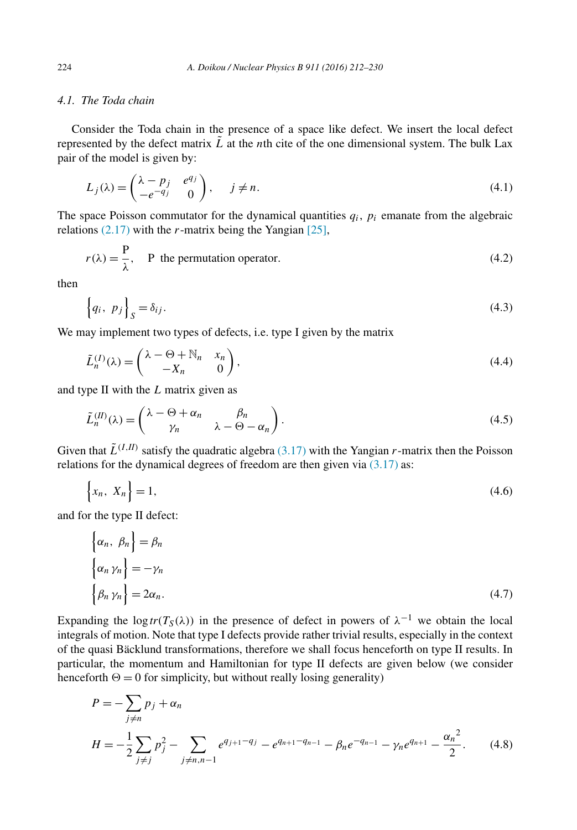### <span id="page-13-0"></span>*4.1. The Toda chain*

Consider the Toda chain in the presence of a space like defect. We insert the local defect represented by the defect matrix  $\tilde{L}$  at the *n*th cite of the one dimensional system. The bulk Lax pair of the model is given by:

$$
L_j(\lambda) = \begin{pmatrix} \lambda - p_j & e^{q_j} \\ -e^{-q_j} & 0 \end{pmatrix}, \quad j \neq n.
$$
 (4.1)

The space Poisson commutator for the dynamical quantities  $q_i$ ,  $p_i$  emanate from the algebraic relations [\(2.17\)](#page-5-0) with the *r*-matrix being the Yangian [\[25\],](#page-19-0)

$$
r(\lambda) = \frac{P}{\lambda}, \quad \text{P the permutation operator.} \tag{4.2}
$$

then

$$
\left\{q_i, p_j\right\}_S = \delta_{ij}.\tag{4.3}
$$

We may implement two types of defects, i.e. type I given by the matrix

$$
\tilde{L}_n^{(I)}(\lambda) = \begin{pmatrix} \lambda - \Theta + \mathbb{N}_n & x_n \\ -X_n & 0 \end{pmatrix},\tag{4.4}
$$

and type II with the *L* matrix given as

$$
\tilde{L}_n^{(II)}(\lambda) = \begin{pmatrix} \lambda - \Theta + \alpha_n & \beta_n \\ \gamma_n & \lambda - \Theta - \alpha_n \end{pmatrix}.
$$
\n(4.5)

Given that  $\tilde{L}^{(I,H)}$  satisfy the quadratic algebra [\(3.17\)](#page-11-0) with the Yangian *r*-matrix then the Poisson relations for the dynamical degrees of freedom are then given via  $(3.17)$  as:

$$
\left\{x_n, X_n\right\} = 1,\tag{4.6}
$$

and for the type II defect:

$$
\begin{aligned}\n\left\{\alpha_n, \ \beta_n\right\} &= \beta_n \\
\left\{\alpha_n \ \gamma_n\right\} &= -\gamma_n \\
\left\{\beta_n \ \gamma_n\right\} &= 2\alpha_n.\n\end{aligned} \tag{4.7}
$$

Expanding the log  $tr(T_S(\lambda))$  in the presence of defect in powers of  $\lambda^{-1}$  we obtain the local integrals of motion. Note that type I defects provide rather trivial results, especially in the context of the quasi Bäcklund transformations, therefore we shall focus henceforth on type II results. In particular, the momentum and Hamiltonian for type II defects are given below (we consider henceforth  $\Theta = 0$  for simplicity, but without really losing generality)

$$
P = -\sum_{j \neq n} p_j + \alpha_n
$$
  
\n
$$
H = -\frac{1}{2} \sum_{j \neq j} p_j^2 - \sum_{j \neq n, n-1} e^{q_{j+1} - q_j} - e^{q_{n+1} - q_{n-1}} - \beta_n e^{-q_{n-1}} - \gamma_n e^{q_{n+1}} - \frac{{\alpha_n}^2}{2}.
$$
 (4.8)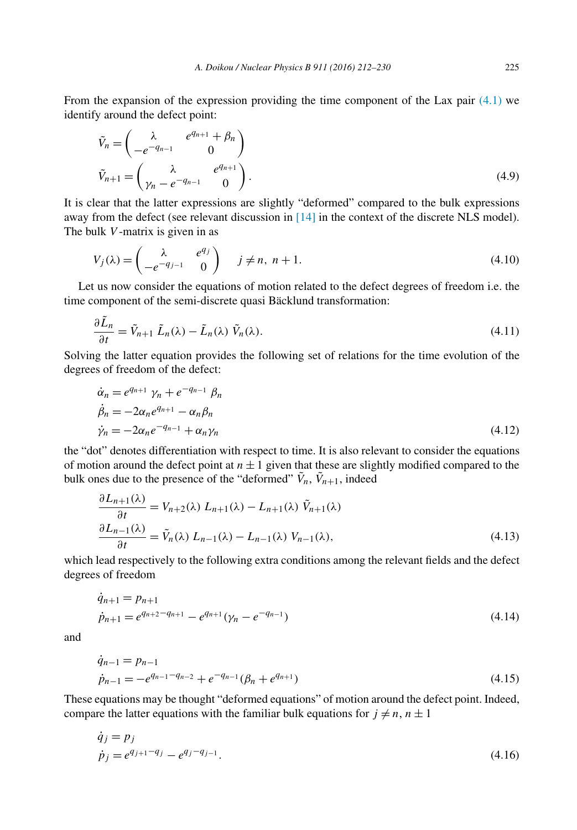From the expansion of the expression providing the time component of the Lax pair  $(4.1)$  we identify around the defect point:

$$
\tilde{V}_n = \begin{pmatrix}\n\lambda & e^{q_{n+1}} + \beta_n \\
-e^{-q_{n-1}} & 0\n\end{pmatrix}
$$
\n
$$
\tilde{V}_{n+1} = \begin{pmatrix}\n\lambda & e^{q_{n+1}} \\
\gamma_n - e^{-q_{n-1}} & 0\n\end{pmatrix}.
$$
\n(4.9)

It is clear that the latter expressions are slightly "deformed" compared to the bulk expressions away from the defect (see relevant discussion in [\[14\]](#page-18-0) in the context of the discrete NLS model). The bulk *V* -matrix is given in as

$$
V_j(\lambda) = \begin{pmatrix} \lambda & e^{q_j} \\ -e^{-q_{j-1}} & 0 \end{pmatrix} \quad j \neq n, n+1.
$$
 (4.10)

Let us now consider the equations of motion related to the defect degrees of freedom i.e. the time component of the semi-discrete quasi Bäcklund transformation:

$$
\frac{\partial \tilde{L}_n}{\partial t} = \tilde{V}_{n+1} \tilde{L}_n(\lambda) - \tilde{L}_n(\lambda) \tilde{V}_n(\lambda).
$$
\n(4.11)

Solving the latter equation provides the following set of relations for the time evolution of the degrees of freedom of the defect:

$$
\begin{aligned}\n\dot{\alpha}_n &= e^{q_{n+1}} \gamma_n + e^{-q_{n-1}} \beta_n \\
\dot{\beta}_n &= -2\alpha_n e^{q_{n+1}} - \alpha_n \beta_n \\
\dot{\gamma}_n &= -2\alpha_n e^{-q_{n-1}} + \alpha_n \gamma_n\n\end{aligned} \tag{4.12}
$$

the "dot" denotes differentiation with respect to time. It is also relevant to consider the equations of motion around the defect point at  $n \pm 1$  given that these are slightly modified compared to the bulk ones due to the presence of the "deformed"  $\tilde{V}_n$ ,  $\tilde{V}_{n+1}$ , indeed

$$
\frac{\partial L_{n+1}(\lambda)}{\partial t} = V_{n+2}(\lambda) L_{n+1}(\lambda) - L_{n+1}(\lambda) \tilde{V}_{n+1}(\lambda)
$$

$$
\frac{\partial L_{n-1}(\lambda)}{\partial t} = \tilde{V}_n(\lambda) L_{n-1}(\lambda) - L_{n-1}(\lambda) V_{n-1}(\lambda), \qquad (4.13)
$$

which lead respectively to the following extra conditions among the relevant fields and the defect degrees of freedom

$$
\dot{q}_{n+1} = p_{n+1}
$$
\n
$$
\dot{p}_{n+1} = e^{q_{n+2} - q_{n+1}} - e^{q_{n+1}} (\gamma_n - e^{-q_{n-1}})
$$
\n(4.14)

and

$$
\dot{q}_{n-1} = p_{n-1}
$$
\n
$$
\dot{p}_{n-1} = -e^{q_{n-1} - q_{n-2}} + e^{-q_{n-1}} (\beta_n + e^{q_{n+1}})
$$
\n(4.15)

These equations may be thought "deformed equations" of motion around the defect point. Indeed, compare the latter equations with the familiar bulk equations for  $j \neq n, n \pm 1$ 

$$
\dot{q}_j = p_j
$$
  
\n
$$
\dot{p}_j = e^{q_{j+1} - q_j} - e^{q_j - q_{j-1}}.
$$
\n(4.16)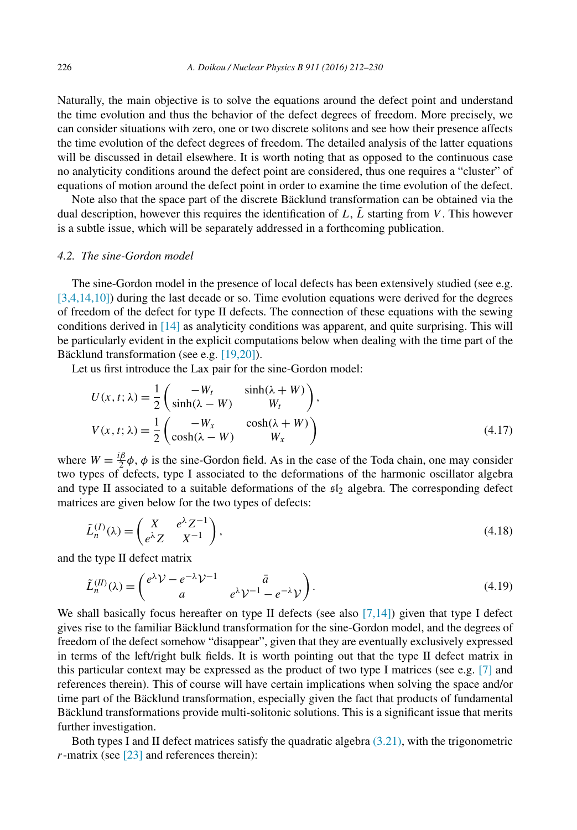Naturally, the main objective is to solve the equations around the defect point and understand the time evolution and thus the behavior of the defect degrees of freedom. More precisely, we can consider situations with zero, one or two discrete solitons and see how their presence affects the time evolution of the defect degrees of freedom. The detailed analysis of the latter equations will be discussed in detail elsewhere. It is worth noting that as opposed to the continuous case no analyticity conditions around the defect point are considered, thus one requires a "cluster" of equations of motion around the defect point in order to examine the time evolution of the defect.

Note also that the space part of the discrete Bäcklund transformation can be obtained via the dual description, however this requires the identification of  $L$ ,  $\tilde{L}$  starting from *V*. This however is a subtle issue, which will be separately addressed in a forthcoming publication.

#### *4.2. The sine-Gordon model*

The sine-Gordon model in the presence of local defects has been extensively studied (see e.g. [\[3,4,14,10\]\)](#page-18-0) during the last decade or so. Time evolution equations were derived for the degrees of freedom of the defect for type II defects. The connection of these equations with the sewing conditions derived in [\[14\]](#page-18-0) as analyticity conditions was apparent, and quite surprising. This will be particularly evident in the explicit computations below when dealing with the time part of the Bäcklund transformation (see e.g. [\[19,20\]\)](#page-18-0).

Let us first introduce the Lax pair for the sine-Gordon model:

$$
U(x, t; \lambda) = \frac{1}{2} \begin{pmatrix} -W_t & \sinh(\lambda + W) \\ \sinh(\lambda - W) & W_t \end{pmatrix},
$$
  
\n
$$
V(x, t; \lambda) = \frac{1}{2} \begin{pmatrix} -W_x & \cosh(\lambda + W) \\ \cosh(\lambda - W) & W_x \end{pmatrix}
$$
 (4.17)

where  $W = \frac{i\beta}{2}\phi$ ,  $\phi$  is the sine-Gordon field. As in the case of the Toda chain, one may consider two types of defects, type I associated to the deformations of the harmonic oscillator algebra and type II associated to a suitable deformations of the  $sI_2$  algebra. The corresponding defect matrices are given below for the two types of defects:

$$
\tilde{L}_n^{(I)}(\lambda) = \begin{pmatrix} X & e^{\lambda} Z^{-1} \\ e^{\lambda} Z & X^{-1} \end{pmatrix},\tag{4.18}
$$

and the type II defect matrix

$$
\tilde{L}_n^{(II)}(\lambda) = \begin{pmatrix} e^{\lambda} \mathcal{V} - e^{-\lambda} \mathcal{V}^{-1} & \bar{a} \\ a & e^{\lambda} \mathcal{V}^{-1} - e^{-\lambda} \mathcal{V} \end{pmatrix} . \tag{4.19}
$$

We shall basically focus hereafter on type II defects (see also  $[7,14]$ ) given that type I defect gives rise to the familiar Bäcklund transformation for the sine-Gordon model, and the degrees of freedom of the defect somehow "disappear", given that they are eventually exclusively expressed in terms of the left/right bulk fields. It is worth pointing out that the type II defect matrix in this particular context may be expressed as the product of two type I matrices (see e.g. [\[7\]](#page-18-0) and references therein). This of course will have certain implications when solving the space and/or time part of the Bäcklund transformation, especially given the fact that products of fundamental Bäcklund transformations provide multi-solitonic solutions. This is a significant issue that merits further investigation.

Both types I and II defect matrices satisfy the quadratic algebra  $(3.21)$ , with the trigonometric *r*-matrix (see [\[23\]](#page-19-0) and references therein):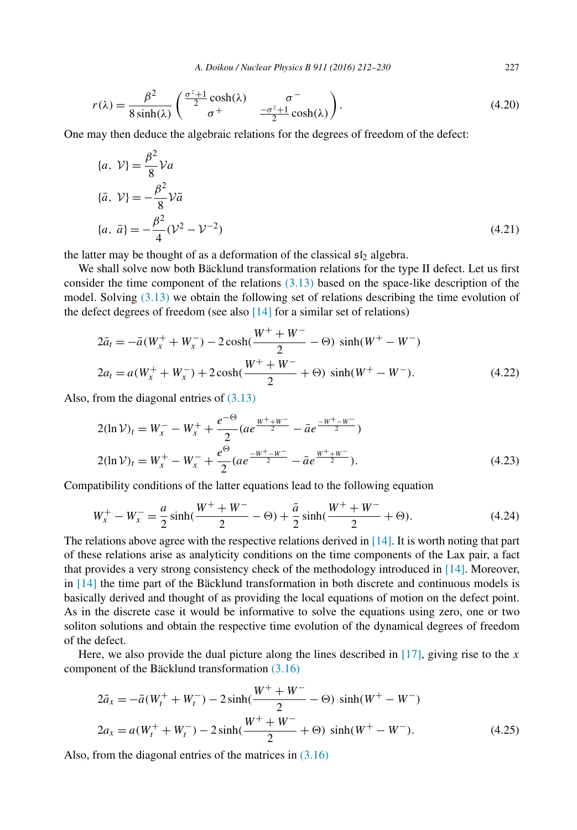$$
r(\lambda) = \frac{\beta^2}{8 \sinh(\lambda)} \begin{pmatrix} \frac{\sigma^2 + 1}{2} \cosh(\lambda) & \sigma^- \\ \sigma^+ & \frac{-\sigma^2 + 1}{2} \cosh(\lambda) \end{pmatrix}.
$$
 (4.20)

One may then deduce the algebraic relations for the degrees of freedom of the defect:

$$
\{a, \mathcal{V}\} = \frac{\beta^2}{8} \mathcal{V} a
$$
  

$$
\{\bar{a}, \mathcal{V}\} = -\frac{\beta^2}{8} \mathcal{V} \bar{a}
$$
  

$$
\{a, \bar{a}\} = -\frac{\beta^2}{4} (\mathcal{V}^2 - \mathcal{V}^{-2})
$$
\n(4.21)

the latter may be thought of as a deformation of the classical  $\mathfrak{sl}_2$  algebra.

We shall solve now both Bäcklund transformation relations for the type II defect. Let us first consider the time component of the relations  $(3.13)$  based on the space-like description of the model. Solving [\(3.13\)](#page-10-0) we obtain the following set of relations describing the time evolution of the defect degrees of freedom (see also  $[14]$  for a similar set of relations)

$$
2\bar{a}_t = -\bar{a}(W_x^+ + W_x^-) - 2\cosh(\frac{W^+ + W^-}{2} - \Theta) \sinh(W^+ - W^-)
$$
  
\n
$$
2a_t = a(W_x^+ + W_x^-) + 2\cosh(\frac{W^+ + W^-}{2} + \Theta) \sinh(W^+ - W^-). \tag{4.22}
$$

Also, from the diagonal entries of [\(3.13\)](#page-10-0)

$$
2(\ln \mathcal{V})_t = W_x^- - W_x^+ + \frac{e^{-\Theta}}{2} (ae^{\frac{W^+ + W^-}{2}} - \bar{a}e^{\frac{-W^+ - W^-}{2}})
$$
  

$$
2(\ln \mathcal{V})_t = W_x^+ - W_x^- + \frac{e^{\Theta}}{2} (ae^{\frac{-W^+ - W^-}{2}} - \bar{a}e^{\frac{W^+ + W^-}{2}}).
$$
 (4.23)

Compatibility conditions of the latter equations lead to the following equation

$$
W_x^+ - W_x^- = \frac{a}{2}\sinh(\frac{W^+ + W^-}{2} - \Theta) + \frac{\bar{a}}{2}\sinh(\frac{W^+ + W^-}{2} + \Theta). \tag{4.24}
$$

The relations above agree with the respective relations derived in [\[14\].](#page-18-0) It is worth noting that part of these relations arise as analyticity conditions on the time components of the Lax pair, a fact that provides a very strong consistency check of the methodology introduced in [\[14\].](#page-18-0) Moreover, in [\[14\]](#page-18-0) the time part of the Bäcklund transformation in both discrete and continuous models is basically derived and thought of as providing the local equations of motion on the defect point. As in the discrete case it would be informative to solve the equations using zero, one or two soliton solutions and obtain the respective time evolution of the dynamical degrees of freedom of the defect.

Here, we also provide the dual picture along the lines described in [\[17\],](#page-18-0) giving rise to the *x* component of the Bäcklund transformation [\(3.16\)](#page-10-0)

$$
2\bar{a}_x = -\bar{a}(W_t^+ + W_t^-) - 2\sinh(\frac{W^+ + W^-}{2} - \Theta) \sinh(W^+ - W^-)
$$
  

$$
2a_x = a(W_t^+ + W_t^-) - 2\sinh(\frac{W^+ + W^-}{2} + \Theta) \sinh(W^+ - W^-). \tag{4.25}
$$

Also, from the diagonal entries of the matrices in [\(3.16\)](#page-10-0)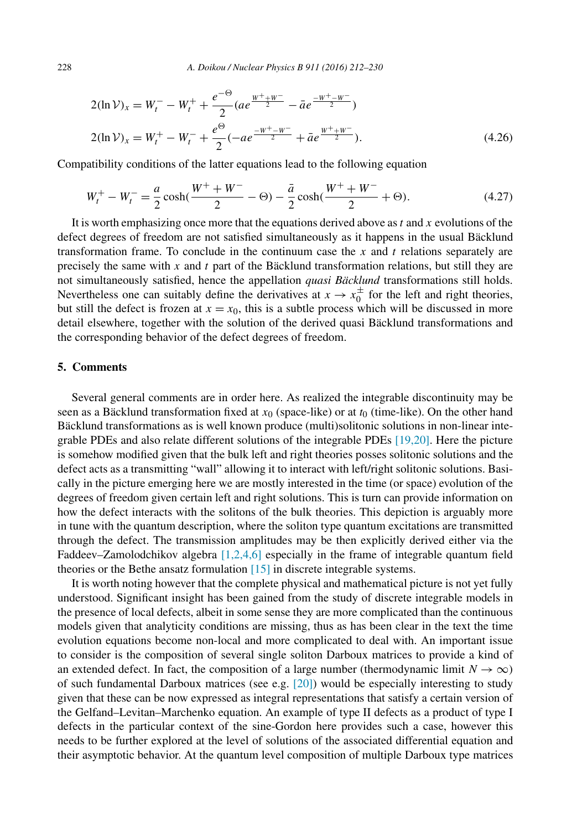$$
2(\ln \mathcal{V})_x = W_t^- - W_t^+ + \frac{e^{-\Theta}}{2} (ae^{\frac{W^+ + W^-}{2}} - \bar{a}e^{\frac{-W^+ - W^-}{2}})
$$
  

$$
2(\ln \mathcal{V})_x = W_t^+ - W_t^- + \frac{e^{\Theta}}{2} (-ae^{\frac{-W^+ - W^-}{2}} + \bar{a}e^{\frac{W^+ + W^-}{2}}).
$$
 (4.26)

Compatibility conditions of the latter equations lead to the following equation

$$
W_t^+ - W_t^- = \frac{a}{2}\cosh(\frac{W^+ + W^-}{2} - \Theta) - \frac{\bar{a}}{2}\cosh(\frac{W^+ + W^-}{2} + \Theta). \tag{4.27}
$$

It is worth emphasizing once more that the equations derived above as *t* and *x* evolutions of the defect degrees of freedom are not satisfied simultaneously as it happens in the usual Bäcklund transformation frame. To conclude in the continuum case the *x* and *t* relations separately are precisely the same with *x* and *t* part of the Bäcklund transformation relations, but still they are not simultaneously satisfied, hence the appellation *quasi Bäcklund* transformations still holds. Nevertheless one can suitably define the derivatives at  $x \to x_0^{\pm}$  for the left and right theories, but still the defect is frozen at  $x = x_0$ , this is a subtle process which will be discussed in more detail elsewhere, together with the solution of the derived quasi Bäcklund transformations and the corresponding behavior of the defect degrees of freedom.

#### **5. Comments**

Several general comments are in order here. As realized the integrable discontinuity may be seen as a Bäcklund transformation fixed at  $x<sub>0</sub>$  (space-like) or at  $t<sub>0</sub>$  (time-like). On the other hand Bäcklund transformations as is well known produce (multi)solitonic solutions in non-linear integrable PDEs and also relate different solutions of the integrable PDEs [\[19,20\].](#page-18-0) Here the picture is somehow modified given that the bulk left and right theories posses solitonic solutions and the defect acts as a transmitting "wall" allowing it to interact with left/right solitonic solutions. Basically in the picture emerging here we are mostly interested in the time (or space) evolution of the degrees of freedom given certain left and right solutions. This is turn can provide information on how the defect interacts with the solitons of the bulk theories. This depiction is arguably more in tune with the quantum description, where the soliton type quantum excitations are transmitted through the defect. The transmission amplitudes may be then explicitly derived either via the Faddeev–Zamolodchikov algebra [\[1,2,4,6\]](#page-18-0) especially in the frame of integrable quantum field theories or the Bethe ansatz formulation [\[15\]](#page-18-0) in discrete integrable systems.

It is worth noting however that the complete physical and mathematical picture is not yet fully understood. Significant insight has been gained from the study of discrete integrable models in the presence of local defects, albeit in some sense they are more complicated than the continuous models given that analyticity conditions are missing, thus as has been clear in the text the time evolution equations become non-local and more complicated to deal with. An important issue to consider is the composition of several single soliton Darboux matrices to provide a kind of an extended defect. In fact, the composition of a large number (thermodynamic limit  $N \to \infty$ ) of such fundamental Darboux matrices (see e.g.  $[20]$ ) would be especially interesting to study given that these can be now expressed as integral representations that satisfy a certain version of the Gelfand–Levitan–Marchenko equation. An example of type II defects as a product of type I defects in the particular context of the sine-Gordon here provides such a case, however this needs to be further explored at the level of solutions of the associated differential equation and their asymptotic behavior. At the quantum level composition of multiple Darboux type matrices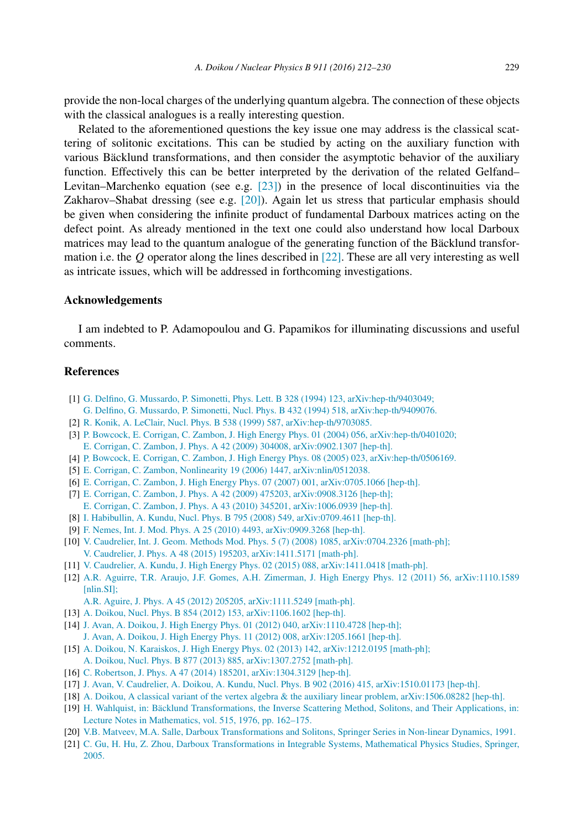<span id="page-18-0"></span>provide the non-local charges of the underlying quantum algebra. The connection of these objects with the classical analogues is a really interesting question.

Related to the aforementioned questions the key issue one may address is the classical scattering of solitonic excitations. This can be studied by acting on the auxiliary function with various Bäcklund transformations, and then consider the asymptotic behavior of the auxiliary function. Effectively this can be better interpreted by the derivation of the related Gelfand– Levitan–Marchenko equation (see e.g. [\[23\]\)](#page-19-0) in the presence of local discontinuities via the Zakharov–Shabat dressing (see e.g. [20]). Again let us stress that particular emphasis should be given when considering the infinite product of fundamental Darboux matrices acting on the defect point. As already mentioned in the text one could also understand how local Darboux matrices may lead to the quantum analogue of the generating function of the Bäcklund transformation i.e. the *Q* operator along the lines described in [\[22\].](#page-19-0) These are all very interesting as well as intricate issues, which will be addressed in forthcoming investigations.

#### **Acknowledgements**

I am indebted to P. Adamopoulou and G. Papamikos for illuminating discussions and useful comments.

#### **References**

- [1] G. Delfino, G. Mussardo, P. Simonetti, Phys. Lett. B 328 (1994) 123, [arXiv:hep-th/9403049;](http://refhub.elsevier.com/S0550-3213(16)30225-5/bib64656C6D757369s1)
- G. Delfino, G. Mussardo, P. Simonetti, Nucl. Phys. B 432 (1994) 518, [arXiv:hep-th/9409076.](http://refhub.elsevier.com/S0550-3213(16)30225-5/bib64656C6D757369s2)
- [2] R. Konik, A. LeClair, Nucl. Phys. B 538 (1999) 587, [arXiv:hep-th/9703085.](http://refhub.elsevier.com/S0550-3213(16)30225-5/bib6B6F6E6C65s1)
- [3] P. Bowcock, E. Corrigan, C. Zambon, J. High Energy Phys. 01 (2004) 056, [arXiv:hep-th/0401020;](http://refhub.elsevier.com/S0550-3213(16)30225-5/bib636F72726967616E2D61746674s1) E. Corrigan, C. Zambon, J. Phys. A 42 (2009) 304008, [arXiv:0902.1307](http://refhub.elsevier.com/S0550-3213(16)30225-5/bib636F72726967616E2D61746674s2) [hep-th].
- [4] P. Bowcock, E. Corrigan, C. Zambon, J. High Energy Phys. 08 (2005) 023, [arXiv:hep-th/0506169.](http://refhub.elsevier.com/S0550-3213(16)30225-5/bib636F72726967616E2D717531s1)
- [5] E. Corrigan, C. Zambon, Nonlinearity 19 (2006) 1447, [arXiv:nlin/0512038.](http://refhub.elsevier.com/S0550-3213(16)30225-5/bib636F72726967616E2D4E4C53s1)
- [6] E. Corrigan, C. Zambon, J. High Energy Phys. 07 (2007) 001, [arXiv:0705.1066](http://refhub.elsevier.com/S0550-3213(16)30225-5/bib636F72726967616E2D7175616E74756Ds1) [hep-th].
- [7] E. Corrigan, C. Zambon, J. Phys. A 42 (2009) 475203, [arXiv:0908.3126](http://refhub.elsevier.com/S0550-3213(16)30225-5/bib636F72726967616E2D6675736564s1) [hep-th]; E. Corrigan, C. Zambon, J. Phys. A 43 (2010) 345201, [arXiv:1006.0939](http://refhub.elsevier.com/S0550-3213(16)30225-5/bib636F72726967616E2D6675736564s2) [hep-th].
- [8] I. Habibullin, A. Kundu, Nucl. Phys. B 795 (2008) 549, [arXiv:0709.4611](http://refhub.elsevier.com/S0550-3213(16)30225-5/bib68616B75s1) [hep-th].
- [9] F. Nemes, Int. J. Mod. Phys. A 25 (2010) 4493, [arXiv:0909.3268](http://refhub.elsevier.com/S0550-3213(16)30225-5/bib6E656D6573s1) [hep-th].
- [10] V. Caudrelier, Int. J. Geom. Methods Mod. Phys. 5 (7) (2008) 1085, [arXiv:0704.2326](http://refhub.elsevier.com/S0550-3213(16)30225-5/bib6361756472656C696572s1) [math-ph]; V. Caudrelier, J. Phys. A 48 (2015) 195203, [arXiv:1411.5171](http://refhub.elsevier.com/S0550-3213(16)30225-5/bib6361756472656C696572s2) [math-ph].
- [11] V. Caudrelier, A. Kundu, J. High Energy Phys. 02 (2015) 088, [arXiv:1411.0418](http://refhub.elsevier.com/S0550-3213(16)30225-5/bib6361756472656C6965722D6B756E6475s1) [math-ph].
- [12] A.R. Aguirre, T.R. Araujo, J.F. Gomes, A.H. Zimerman, J. High Energy Phys. 12 (2011) 56, [arXiv:1110.1589](http://refhub.elsevier.com/S0550-3213(16)30225-5/bib616775697265s1) [\[nlin.SI\];](http://refhub.elsevier.com/S0550-3213(16)30225-5/bib616775697265s1)
	- A.R. Aguire, J. Phys. A 45 (2012) 205205, [arXiv:1111.5249](http://refhub.elsevier.com/S0550-3213(16)30225-5/bib616775697265s2) [math-ph].
- [13] A. Doikou, Nucl. Phys. B 854 (2012) 153, [arXiv:1106.1602](http://refhub.elsevier.com/S0550-3213(16)30225-5/bib646F696B6F7530s1) [hep-th].
- [14] J. Avan, A. Doikou, J. High Energy Phys. 01 (2012) 040, [arXiv:1110.4728](http://refhub.elsevier.com/S0550-3213(16)30225-5/bib6176616E2D646F696B6F75s1) [hep-th]; J. Avan, A. Doikou, J. High Energy Phys. 11 (2012) 008, [arXiv:1205.1661](http://refhub.elsevier.com/S0550-3213(16)30225-5/bib6176616E2D646F696B6F75s2) [hep-th].
- [15] A. Doikou, N. Karaiskos, J. High Energy Phys. 02 (2013) 142, [arXiv:1212.0195](http://refhub.elsevier.com/S0550-3213(16)30225-5/bib646F696B6F752D7175616E74756Ds1) [math-ph]; A. Doikou, Nucl. Phys. B 877 (2013) 885, [arXiv:1307.2752](http://refhub.elsevier.com/S0550-3213(16)30225-5/bib646F696B6F752D7175616E74756Ds2) [math-ph].
- [16] C. Robertson, J. Phys. A 47 (2014) 185201, [arXiv:1304.3129](http://refhub.elsevier.com/S0550-3213(16)30225-5/bib726F62657274736F6Es1) [hep-th].
- [17] J. Avan, V. Caudrelier, A. Doikou, A. Kundu, Nucl. Phys. B 902 (2016) 415, [arXiv:1510.01173](http://refhub.elsevier.com/S0550-3213(16)30225-5/bib4143444Bs1) [hep-th].
- [18] A. Doikou, A classical variant of the vertex algebra & the auxiliary linear problem, [arXiv:1506.08282](http://refhub.elsevier.com/S0550-3213(16)30225-5/bib646F696B6F753135s1) [hep-th].
- [19] H. Wahlquist, in: Bäcklund [Transformations,](http://refhub.elsevier.com/S0550-3213(16)30225-5/bib7761686C71s1) the Inverse Scattering Method, Solitons, and Their Applications, in: Lecture Notes in [Mathematics,](http://refhub.elsevier.com/S0550-3213(16)30225-5/bib7761686C71s1) vol. 515, 1976, pp. 162–175.
- [20] V.B. Matveev, M.A. Salle, Darboux [Transformations](http://refhub.elsevier.com/S0550-3213(16)30225-5/bib6D617476656576s1) and Solitons, Springer Series in Non-linear Dynamics, 1991.
- [21] C. Gu, H. Hu, Z. Zhou, Darboux [Transformations](http://refhub.elsevier.com/S0550-3213(16)30225-5/bib4261636B6C756E642D626F6F6Bs1) in Integrable Systems, Mathematical Physics Studies, Springer, [2005.](http://refhub.elsevier.com/S0550-3213(16)30225-5/bib4261636B6C756E642D626F6F6Bs1)